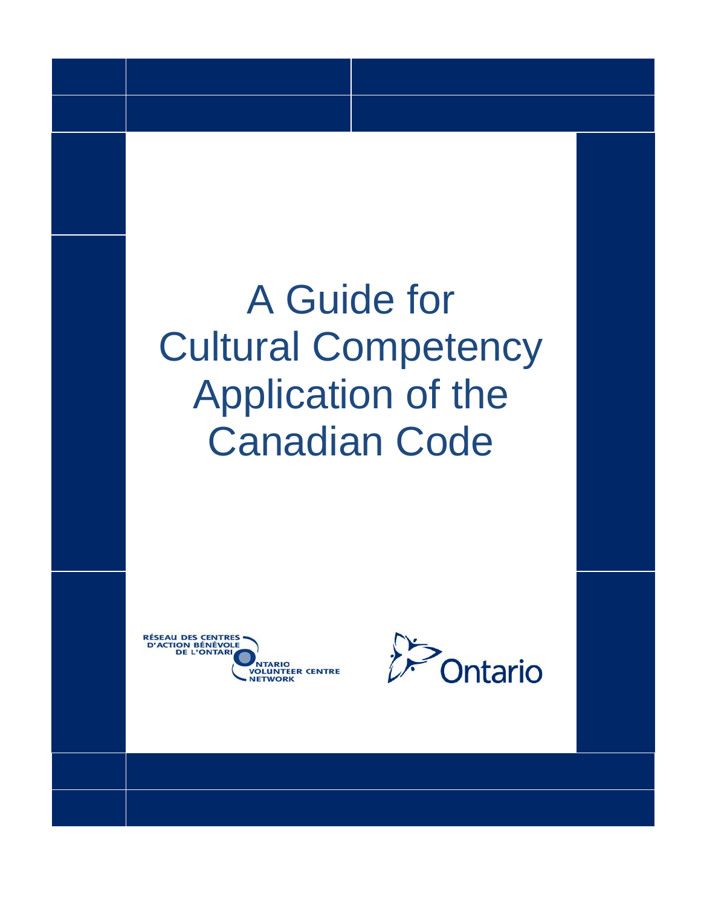# A Guide for Cultural Competency Application of the Canadian Code



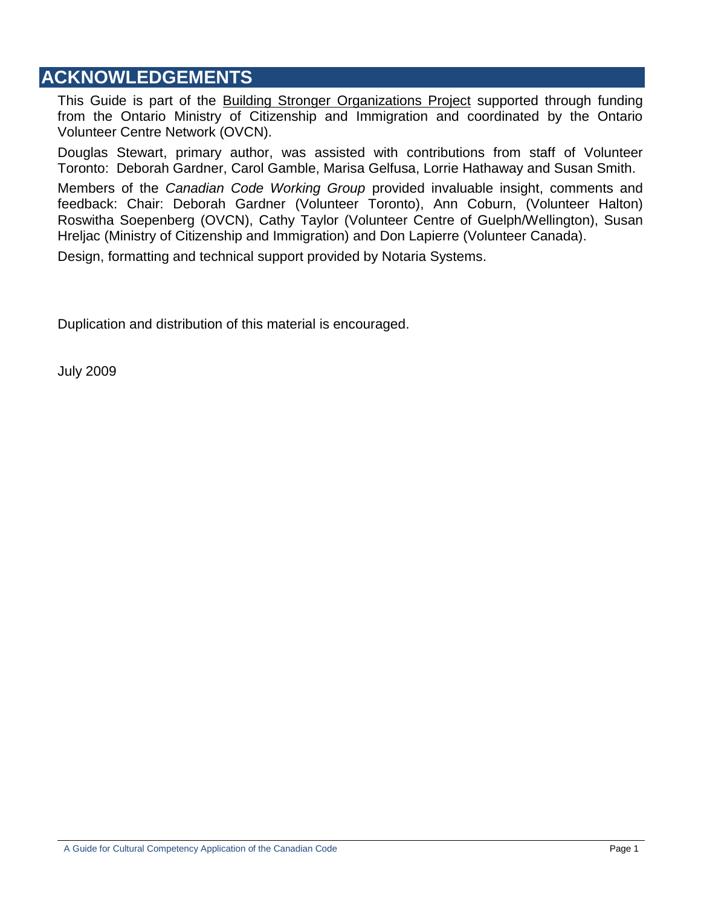## **ACKNOWLEDGEMENTS**

This Guide is part of the Building Stronger Organizations Project supported through funding from the Ontario Ministry of Citizenship and Immigration and coordinated by the Ontario Volunteer Centre Network (OVCN).

Douglas Stewart, primary author, was assisted with contributions from staff of Volunteer Toronto: Deborah Gardner, Carol Gamble, Marisa Gelfusa, Lorrie Hathaway and Susan Smith.

Members of the *Canadian Code Working Group* provided invaluable insight, comments and feedback: Chair: Deborah Gardner (Volunteer Toronto), Ann Coburn, (Volunteer Halton) Roswitha Soepenberg (OVCN), Cathy Taylor (Volunteer Centre of Guelph/Wellington), Susan Hreljac (Ministry of Citizenship and Immigration) and Don Lapierre (Volunteer Canada).

Design, formatting and technical support provided by Notaria Systems.

Duplication and distribution of this material is encouraged.

July 2009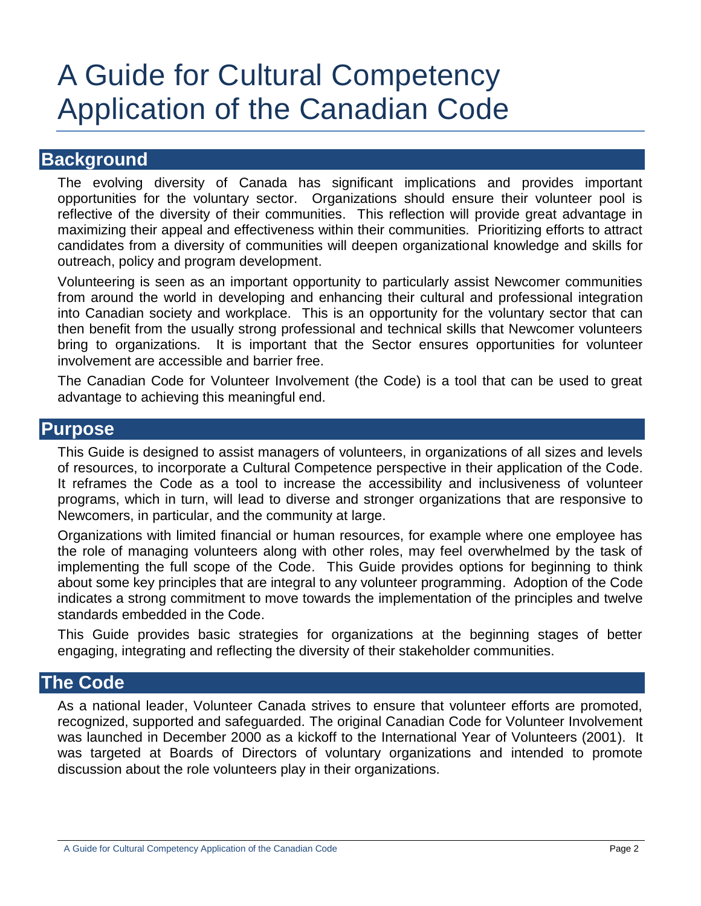## A Guide for Cultural Competency Application of the Canadian Code

## **Background**

The evolving diversity of Canada has significant implications and provides important opportunities for the voluntary sector. Organizations should ensure their volunteer pool is reflective of the diversity of their communities. This reflection will provide great advantage in maximizing their appeal and effectiveness within their communities. Prioritizing efforts to attract candidates from a diversity of communities will deepen organizational knowledge and skills for outreach, policy and program development.

Volunteering is seen as an important opportunity to particularly assist Newcomer communities from around the world in developing and enhancing their cultural and professional integration into Canadian society and workplace. This is an opportunity for the voluntary sector that can then benefit from the usually strong professional and technical skills that Newcomer volunteers bring to organizations. It is important that the Sector ensures opportunities for volunteer involvement are accessible and barrier free.

The Canadian Code for Volunteer Involvement (the Code) is a tool that can be used to great advantage to achieving this meaningful end.

## **Purpose**

This Guide is designed to assist managers of volunteers, in organizations of all sizes and levels of resources, to incorporate a Cultural Competence perspective in their application of the Code. It reframes the Code as a tool to increase the accessibility and inclusiveness of volunteer programs, which in turn, will lead to diverse and stronger organizations that are responsive to Newcomers, in particular, and the community at large.

Organizations with limited financial or human resources, for example where one employee has the role of managing volunteers along with other roles, may feel overwhelmed by the task of implementing the full scope of the Code. This Guide provides options for beginning to think about some key principles that are integral to any volunteer programming. Adoption of the Code indicates a strong commitment to move towards the implementation of the principles and twelve standards embedded in the Code.

This Guide provides basic strategies for organizations at the beginning stages of better engaging, integrating and reflecting the diversity of their stakeholder communities.

## **The Code**

As a national leader, Volunteer Canada strives to ensure that volunteer efforts are promoted, recognized, supported and safeguarded. The original Canadian Code for Volunteer Involvement was launched in December 2000 as a kickoff to the International Year of Volunteers (2001). It was targeted at Boards of Directors of voluntary organizations and intended to promote discussion about the role volunteers play in their organizations.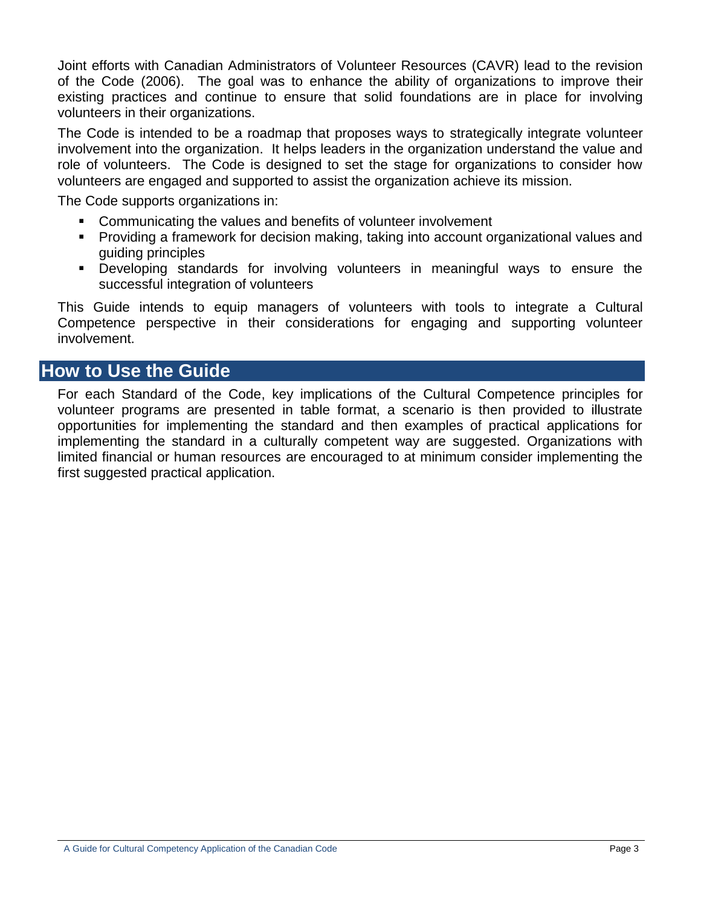Joint efforts with Canadian Administrators of Volunteer Resources (CAVR) lead to the revision of the Code (2006). The goal was to enhance the ability of organizations to improve their existing practices and continue to ensure that solid foundations are in place for involving volunteers in their organizations.

The Code is intended to be a roadmap that proposes ways to strategically integrate volunteer involvement into the organization. It helps leaders in the organization understand the value and role of volunteers. The Code is designed to set the stage for organizations to consider how volunteers are engaged and supported to assist the organization achieve its mission.

The Code supports organizations in:

- Communicating the values and benefits of volunteer involvement
- Providing a framework for decision making, taking into account organizational values and guiding principles
- Developing standards for involving volunteers in meaningful ways to ensure the successful integration of volunteers

This Guide intends to equip managers of volunteers with tools to integrate a Cultural Competence perspective in their considerations for engaging and supporting volunteer involvement.

## **How to Use the Guide**

For each Standard of the Code, key implications of the Cultural Competence principles for volunteer programs are presented in table format, a scenario is then provided to illustrate opportunities for implementing the standard and then examples of practical applications for implementing the standard in a culturally competent way are suggested. Organizations with limited financial or human resources are encouraged to at minimum consider implementing the first suggested practical application.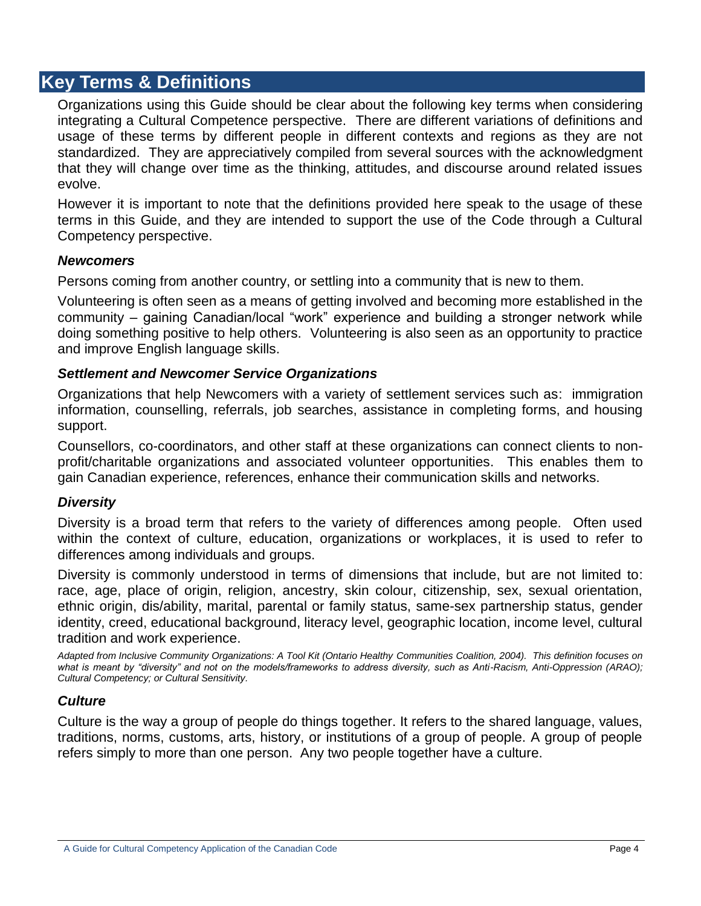## **Key Terms & Definitions**

Organizations using this Guide should be clear about the following key terms when considering integrating a Cultural Competence perspective. There are different variations of definitions and usage of these terms by different people in different contexts and regions as they are not standardized. They are appreciatively compiled from several sources with the acknowledgment that they will change over time as the thinking, attitudes, and discourse around related issues evolve.

However it is important to note that the definitions provided here speak to the usage of these terms in this Guide, and they are intended to support the use of the Code through a Cultural Competency perspective.

#### *Newcomers*

Persons coming from another country, or settling into a community that is new to them.

Volunteering is often seen as a means of getting involved and becoming more established in the community – gaining Canadian/local "work" experience and building a stronger network while doing something positive to help others. Volunteering is also seen as an opportunity to practice and improve English language skills.

#### *Settlement and Newcomer Service Organizations*

Organizations that help Newcomers with a variety of settlement services such as: immigration information, counselling, referrals, job searches, assistance in completing forms, and housing support.

Counsellors, co-coordinators, and other staff at these organizations can connect clients to nonprofit/charitable organizations and associated volunteer opportunities. This enables them to gain Canadian experience, references, enhance their communication skills and networks.

#### *Diversity*

Diversity is a broad term that refers to the variety of differences among people. Often used within the context of culture, education, organizations or workplaces, it is used to refer to differences among individuals and groups.

Diversity is commonly understood in terms of dimensions that include, but are not limited to: race, age, place of origin, religion, ancestry, skin colour, citizenship, sex, sexual orientation, ethnic origin, dis/ability, marital, parental or family status, same-sex partnership status, gender identity, creed, educational background, literacy level, geographic location, income level, cultural tradition and work experience.

*Adapted from Inclusive Community Organizations: A Tool Kit (Ontario Healthy Communities Coalition, 2004). This definition focuses on what is meant by "diversity" and not on the models/frameworks to address diversity, such as Anti-Racism, Anti-Oppression (ARAO); Cultural Competency; or Cultural Sensitivity.*

#### *Culture*

Culture is the way a group of people do things together. It refers to the shared language, values, traditions, norms, customs, arts, history, or institutions of a group of people. A group of people refers simply to more than one person. Any two people together have a culture.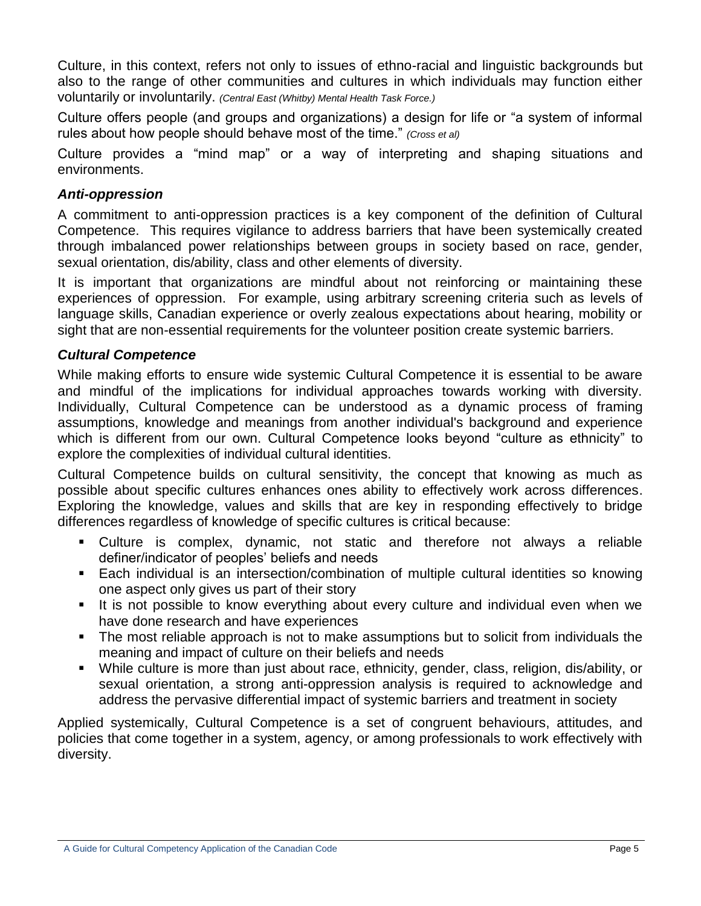Culture, in this context, refers not only to issues of ethno-racial and linguistic backgrounds but also to the range of other communities and cultures in which individuals may function either voluntarily or involuntarily. *(Central East (Whitby) Mental Health Task Force.)*

Culture offers people (and groups and organizations) a design for life or "a system of informal rules about how people should behave most of the time." *(Cross et al)*

Culture provides a "mind map" or a way of interpreting and shaping situations and environments.

## *Anti-oppression*

A commitment to anti-oppression practices is a key component of the definition of Cultural Competence. This requires vigilance to address barriers that have been systemically created through imbalanced power relationships between groups in society based on race, gender, sexual orientation, dis/ability, class and other elements of diversity.

It is important that organizations are mindful about not reinforcing or maintaining these experiences of oppression. For example, using arbitrary screening criteria such as levels of language skills, Canadian experience or overly zealous expectations about hearing, mobility or sight that are non-essential requirements for the volunteer position create systemic barriers.

## *Cultural Competence*

While making efforts to ensure wide systemic Cultural Competence it is essential to be aware and mindful of the implications for individual approaches towards working with diversity. Individually, Cultural Competence can be understood as a dynamic process of framing assumptions, knowledge and meanings from another individual's background and experience which is different from our own. Cultural Competence looks beyond "culture as ethnicity" to explore the complexities of individual cultural identities.

Cultural Competence builds on cultural sensitivity, the concept that knowing as much as possible about specific cultures enhances ones ability to effectively work across differences. Exploring the knowledge, values and skills that are key in responding effectively to bridge differences regardless of knowledge of specific cultures is critical because:

- Culture is complex, dynamic, not static and therefore not always a reliable definer/indicator of peoples' beliefs and needs
- Each individual is an intersection/combination of multiple cultural identities so knowing one aspect only gives us part of their story
- It is not possible to know everything about every culture and individual even when we have done research and have experiences
- The most reliable approach is not to make assumptions but to solicit from individuals the meaning and impact of culture on their beliefs and needs
- While culture is more than just about race, ethnicity, gender, class, religion, dis/ability, or sexual orientation, a strong anti-oppression analysis is required to acknowledge and address the pervasive differential impact of systemic barriers and treatment in society

Applied systemically, Cultural Competence is a set of congruent behaviours, attitudes, and policies that come together in a system, agency, or among professionals to work effectively with diversity.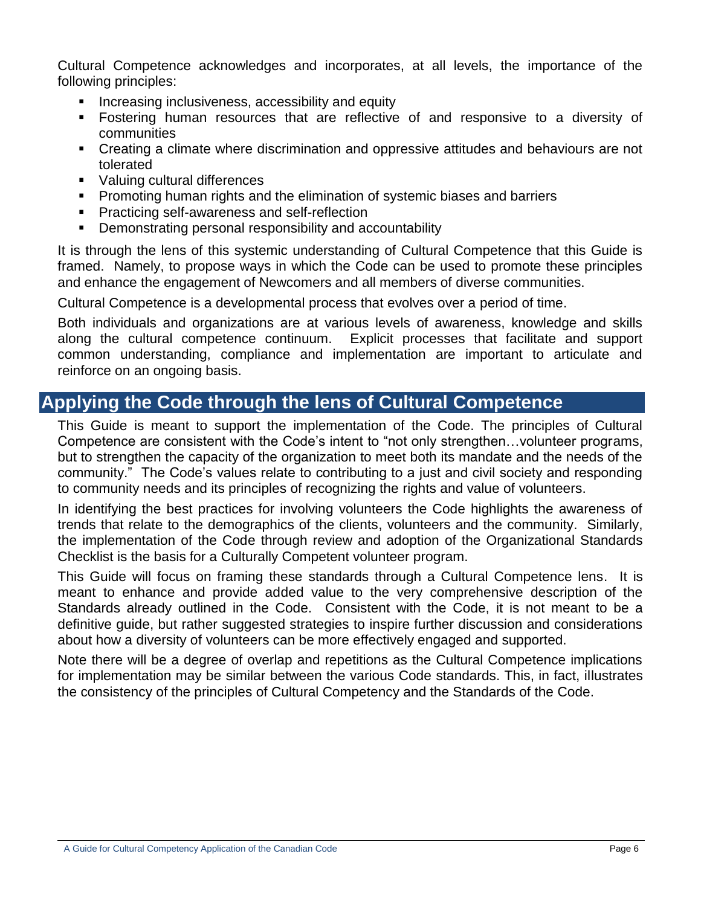Cultural Competence acknowledges and incorporates, at all levels, the importance of the following principles:

- **Increasing inclusiveness, accessibility and equity**
- Fostering human resources that are reflective of and responsive to a diversity of communities
- Creating a climate where discrimination and oppressive attitudes and behaviours are not tolerated
- Valuing cultural differences
- **Promoting human rights and the elimination of systemic biases and barriers**
- Practicing self-awareness and self-reflection
- **•** Demonstrating personal responsibility and accountability

It is through the lens of this systemic understanding of Cultural Competence that this Guide is framed. Namely, to propose ways in which the Code can be used to promote these principles and enhance the engagement of Newcomers and all members of diverse communities.

Cultural Competence is a developmental process that evolves over a period of time.

Both individuals and organizations are at various levels of awareness, knowledge and skills along the cultural competence continuum. Explicit processes that facilitate and support common understanding, compliance and implementation are important to articulate and reinforce on an ongoing basis.

## **Applying the Code through the lens of Cultural Competence**

This Guide is meant to support the implementation of the Code. The principles of Cultural Competence are consistent with the Code"s intent to "not only strengthen…volunteer programs, but to strengthen the capacity of the organization to meet both its mandate and the needs of the community." The Code"s values relate to contributing to a just and civil society and responding to community needs and its principles of recognizing the rights and value of volunteers.

In identifying the best practices for involving volunteers the Code highlights the awareness of trends that relate to the demographics of the clients, volunteers and the community. Similarly, the implementation of the Code through review and adoption of the Organizational Standards Checklist is the basis for a Culturally Competent volunteer program.

This Guide will focus on framing these standards through a Cultural Competence lens. It is meant to enhance and provide added value to the very comprehensive description of the Standards already outlined in the Code. Consistent with the Code, it is not meant to be a definitive guide, but rather suggested strategies to inspire further discussion and considerations about how a diversity of volunteers can be more effectively engaged and supported.

Note there will be a degree of overlap and repetitions as the Cultural Competence implications for implementation may be similar between the various Code standards. This, in fact, illustrates the consistency of the principles of Cultural Competency and the Standards of the Code.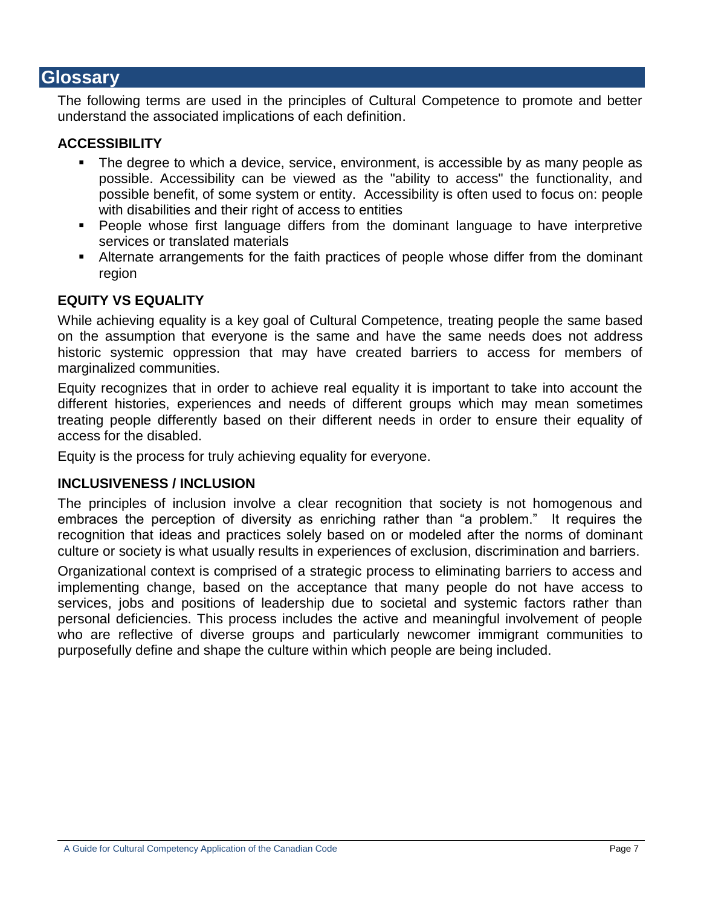## **Glossary**

The following terms are used in the principles of Cultural Competence to promote and better understand the associated implications of each definition.

## **ACCESSIBILITY**

- **The degree to which a device, service, environment, is accessible by as many people as** possible. Accessibility can be viewed as the "ability to access" the functionality, and possible benefit, of some system or entity. Accessibility is often used to focus on: people with disabilities and their right of access to entities
- **People whose first language differs from the dominant language to have interpretive** services or translated materials
- Alternate arrangements for the faith practices of people whose differ from the dominant region

## **EQUITY VS EQUALITY**

While achieving equality is a key goal of Cultural Competence, treating people the same based on the assumption that everyone is the same and have the same needs does not address historic systemic oppression that may have created barriers to access for members of marginalized communities.

Equity recognizes that in order to achieve real equality it is important to take into account the different histories, experiences and needs of different groups which may mean sometimes treating people differently based on their different needs in order to ensure their equality of access for the disabled.

Equity is the process for truly achieving equality for everyone.

#### **INCLUSIVENESS / INCLUSION**

The principles of inclusion involve a clear recognition that society is not homogenous and embraces the perception of diversity as enriching rather than "a problem." It requires the recognition that ideas and practices solely based on or modeled after the norms of dominant culture or society is what usually results in experiences of exclusion, discrimination and barriers.

Organizational context is comprised of a strategic process to eliminating barriers to access and implementing change, based on the acceptance that many people do not have access to services, jobs and positions of leadership due to societal and systemic factors rather than personal deficiencies. This process includes the active and meaningful involvement of people who are reflective of diverse groups and particularly newcomer immigrant communities to purposefully define and shape the culture within which people are being included.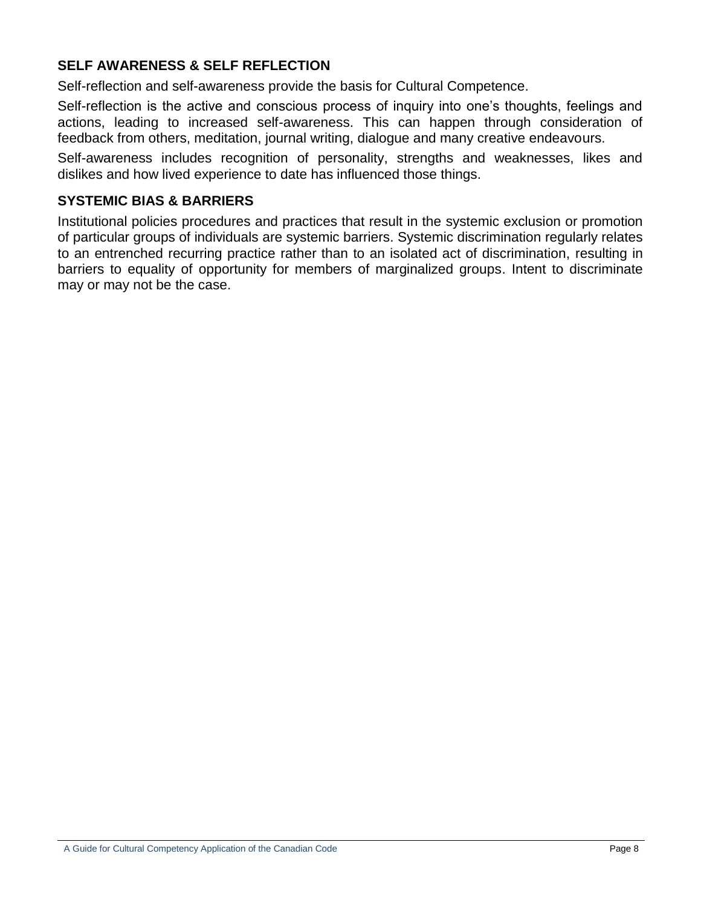## **SELF AWARENESS & SELF REFLECTION**

Self-reflection and self-awareness provide the basis for Cultural Competence.

Self-reflection is the active and conscious process of inquiry into one"s thoughts, feelings and actions, leading to increased self-awareness. This can happen through consideration of feedback from others, meditation, journal writing, dialogue and many creative endeavours.

Self-awareness includes recognition of personality, strengths and weaknesses, likes and dislikes and how lived experience to date has influenced those things.

#### **SYSTEMIC BIAS & BARRIERS**

Institutional policies procedures and practices that result in the systemic exclusion or promotion of particular groups of individuals are systemic barriers. Systemic discrimination regularly relates to an entrenched recurring practice rather than to an isolated act of discrimination, resulting in barriers to equality of opportunity for members of marginalized groups. Intent to discriminate may or may not be the case.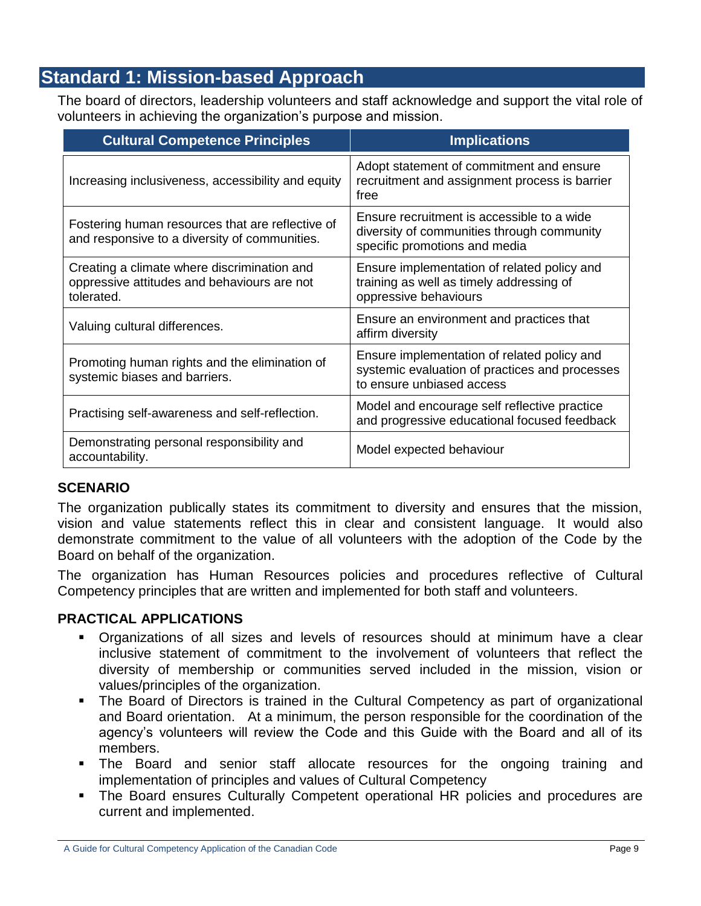## **Standard 1: Mission-based Approach**

The board of directors, leadership volunteers and staff acknowledge and support the vital role of volunteers in achieving the organization"s purpose and mission.

| <b>Cultural Competence Principles</b>                                                                    | <b>Implications</b>                                                                                                        |
|----------------------------------------------------------------------------------------------------------|----------------------------------------------------------------------------------------------------------------------------|
| Increasing inclusiveness, accessibility and equity                                                       | Adopt statement of commitment and ensure<br>recruitment and assignment process is barrier<br>free                          |
| Fostering human resources that are reflective of<br>and responsive to a diversity of communities.        | Ensure recruitment is accessible to a wide<br>diversity of communities through community<br>specific promotions and media  |
| Creating a climate where discrimination and<br>oppressive attitudes and behaviours are not<br>tolerated. | Ensure implementation of related policy and<br>training as well as timely addressing of<br>oppressive behaviours           |
| Valuing cultural differences.                                                                            | Ensure an environment and practices that<br>affirm diversity                                                               |
| Promoting human rights and the elimination of<br>systemic biases and barriers.                           | Ensure implementation of related policy and<br>systemic evaluation of practices and processes<br>to ensure unbiased access |
| Practising self-awareness and self-reflection.                                                           | Model and encourage self reflective practice<br>and progressive educational focused feedback                               |
| Demonstrating personal responsibility and<br>accountability.                                             | Model expected behaviour                                                                                                   |

#### **SCENARIO**

The organization publically states its commitment to diversity and ensures that the mission, vision and value statements reflect this in clear and consistent language. It would also demonstrate commitment to the value of all volunteers with the adoption of the Code by the Board on behalf of the organization.

The organization has Human Resources policies and procedures reflective of Cultural Competency principles that are written and implemented for both staff and volunteers.

- Organizations of all sizes and levels of resources should at minimum have a clear inclusive statement of commitment to the involvement of volunteers that reflect the diversity of membership or communities served included in the mission, vision or values/principles of the organization.
- The Board of Directors is trained in the Cultural Competency as part of organizational and Board orientation. At a minimum, the person responsible for the coordination of the agency"s volunteers will review the Code and this Guide with the Board and all of its members.
- The Board and senior staff allocate resources for the ongoing training and implementation of principles and values of Cultural Competency
- **The Board ensures Culturally Competent operational HR policies and procedures are** current and implemented.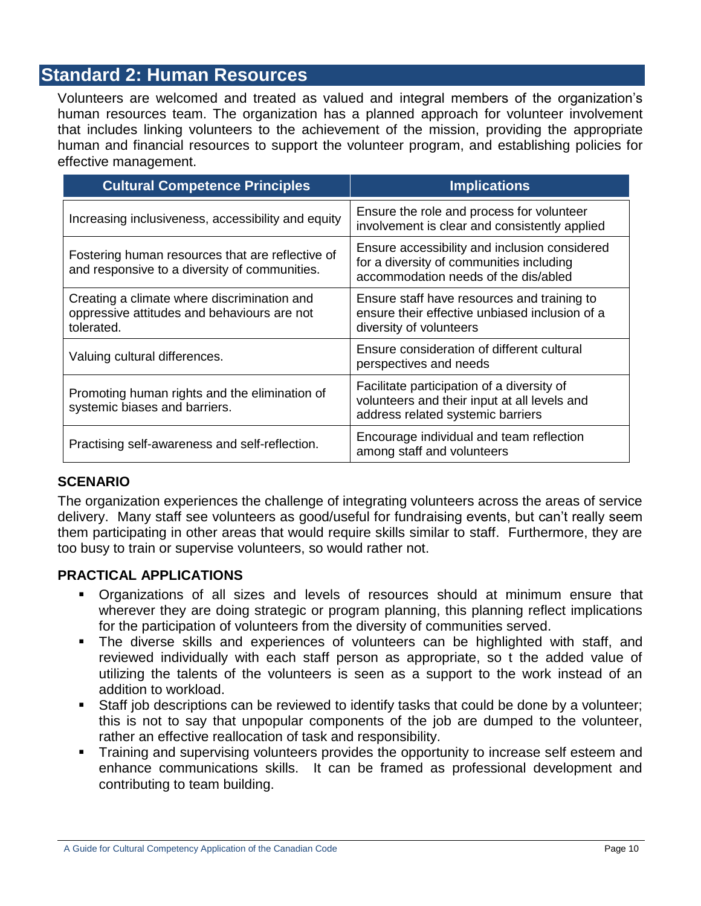## **Standard 2: Human Resources**

Volunteers are welcomed and treated as valued and integral members of the organization"s human resources team. The organization has a planned approach for volunteer involvement that includes linking volunteers to the achievement of the mission, providing the appropriate human and financial resources to support the volunteer program, and establishing policies for effective management.

| <b>Cultural Competence Principles</b>                                                                    | <b>Implications</b>                                                                                                               |
|----------------------------------------------------------------------------------------------------------|-----------------------------------------------------------------------------------------------------------------------------------|
| Increasing inclusiveness, accessibility and equity                                                       | Ensure the role and process for volunteer<br>involvement is clear and consistently applied                                        |
| Fostering human resources that are reflective of<br>and responsive to a diversity of communities.        | Ensure accessibility and inclusion considered<br>for a diversity of communities including<br>accommodation needs of the dis/abled |
| Creating a climate where discrimination and<br>oppressive attitudes and behaviours are not<br>tolerated. | Ensure staff have resources and training to<br>ensure their effective unbiased inclusion of a<br>diversity of volunteers          |
| Valuing cultural differences.                                                                            | Ensure consideration of different cultural<br>perspectives and needs                                                              |
| Promoting human rights and the elimination of<br>systemic biases and barriers.                           | Facilitate participation of a diversity of<br>volunteers and their input at all levels and<br>address related systemic barriers   |
| Practising self-awareness and self-reflection.                                                           | Encourage individual and team reflection<br>among staff and volunteers                                                            |

#### **SCENARIO**

The organization experiences the challenge of integrating volunteers across the areas of service delivery. Many staff see volunteers as good/useful for fundraising events, but can"t really seem them participating in other areas that would require skills similar to staff. Furthermore, they are too busy to train or supervise volunteers, so would rather not.

- Organizations of all sizes and levels of resources should at minimum ensure that wherever they are doing strategic or program planning, this planning reflect implications for the participation of volunteers from the diversity of communities served.
- The diverse skills and experiences of volunteers can be highlighted with staff, and reviewed individually with each staff person as appropriate, so t the added value of utilizing the talents of the volunteers is seen as a support to the work instead of an addition to workload.
- Staff job descriptions can be reviewed to identify tasks that could be done by a volunteer; this is not to say that unpopular components of the job are dumped to the volunteer, rather an effective reallocation of task and responsibility.
- Training and supervising volunteers provides the opportunity to increase self esteem and enhance communications skills. It can be framed as professional development and contributing to team building.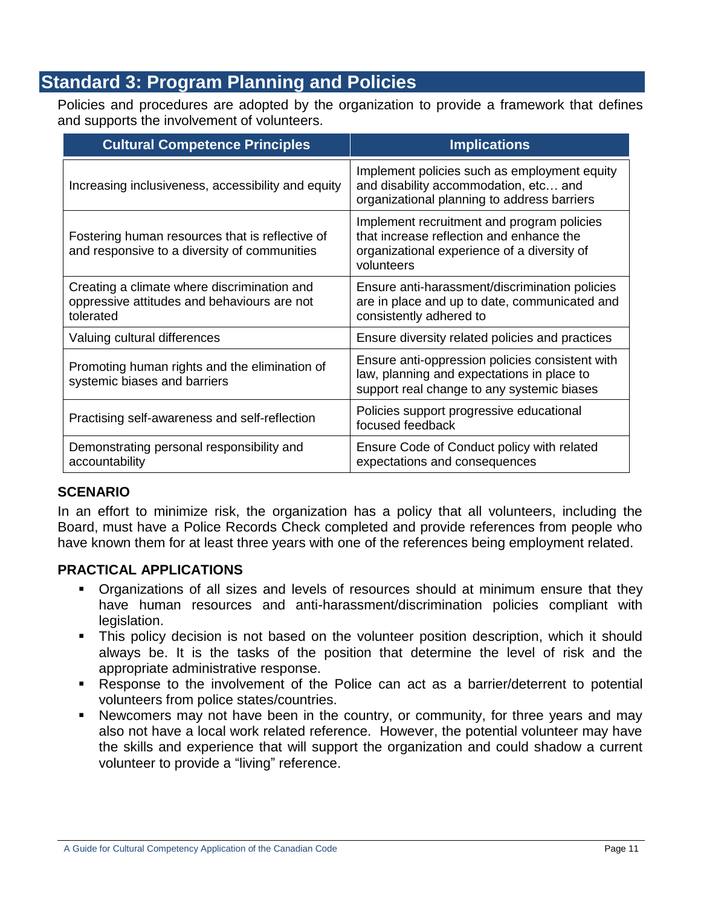## **Standard 3: Program Planning and Policies**

Policies and procedures are adopted by the organization to provide a framework that defines and supports the involvement of volunteers.

| <b>Cultural Competence Principles</b>                                                                   | <b>Implications</b>                                                                                                                                 |
|---------------------------------------------------------------------------------------------------------|-----------------------------------------------------------------------------------------------------------------------------------------------------|
| Increasing inclusiveness, accessibility and equity                                                      | Implement policies such as employment equity<br>and disability accommodation, etc and<br>organizational planning to address barriers                |
| Fostering human resources that is reflective of<br>and responsive to a diversity of communities         | Implement recruitment and program policies<br>that increase reflection and enhance the<br>organizational experience of a diversity of<br>volunteers |
| Creating a climate where discrimination and<br>oppressive attitudes and behaviours are not<br>tolerated | Ensure anti-harassment/discrimination policies<br>are in place and up to date, communicated and<br>consistently adhered to                          |
| Valuing cultural differences                                                                            | Ensure diversity related policies and practices                                                                                                     |
| Promoting human rights and the elimination of<br>systemic biases and barriers                           | Ensure anti-oppression policies consistent with<br>law, planning and expectations in place to<br>support real change to any systemic biases         |
| Practising self-awareness and self-reflection                                                           | Policies support progressive educational<br>focused feedback                                                                                        |
| Demonstrating personal responsibility and<br>accountability                                             | Ensure Code of Conduct policy with related<br>expectations and consequences                                                                         |

## **SCENARIO**

In an effort to minimize risk, the organization has a policy that all volunteers, including the Board, must have a Police Records Check completed and provide references from people who have known them for at least three years with one of the references being employment related.

- Organizations of all sizes and levels of resources should at minimum ensure that they have human resources and anti-harassment/discrimination policies compliant with legislation.
- This policy decision is not based on the volunteer position description, which it should always be. It is the tasks of the position that determine the level of risk and the appropriate administrative response.
- Response to the involvement of the Police can act as a barrier/deterrent to potential volunteers from police states/countries.
- Newcomers may not have been in the country, or community, for three years and may also not have a local work related reference. However, the potential volunteer may have the skills and experience that will support the organization and could shadow a current volunteer to provide a "living" reference.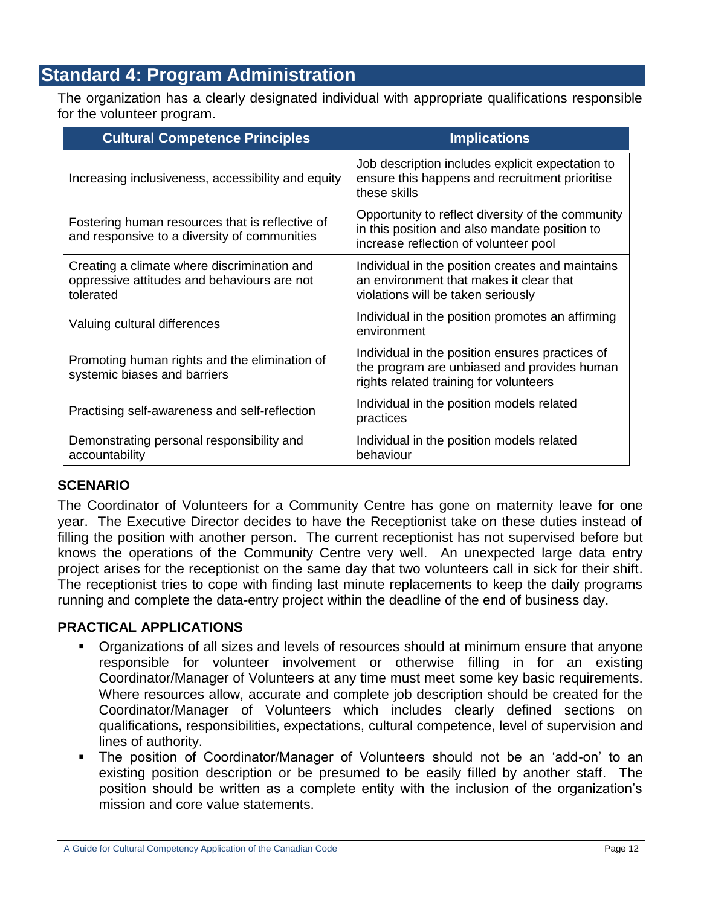## **Standard 4: Program Administration**

The organization has a clearly designated individual with appropriate qualifications responsible for the volunteer program.

| <b>Cultural Competence Principles</b>                                                                   | <b>Implications</b>                                                                                                                         |
|---------------------------------------------------------------------------------------------------------|---------------------------------------------------------------------------------------------------------------------------------------------|
| Increasing inclusiveness, accessibility and equity                                                      | Job description includes explicit expectation to<br>ensure this happens and recruitment prioritise<br>these skills                          |
| Fostering human resources that is reflective of<br>and responsive to a diversity of communities         | Opportunity to reflect diversity of the community<br>in this position and also mandate position to<br>increase reflection of volunteer pool |
| Creating a climate where discrimination and<br>oppressive attitudes and behaviours are not<br>tolerated | Individual in the position creates and maintains<br>an environment that makes it clear that<br>violations will be taken seriously           |
| Valuing cultural differences                                                                            | Individual in the position promotes an affirming<br>environment                                                                             |
| Promoting human rights and the elimination of<br>systemic biases and barriers                           | Individual in the position ensures practices of<br>the program are unbiased and provides human<br>rights related training for volunteers    |
| Practising self-awareness and self-reflection                                                           | Individual in the position models related<br>practices                                                                                      |
| Demonstrating personal responsibility and<br>accountability                                             | Individual in the position models related<br>behaviour                                                                                      |

## **SCENARIO**

The Coordinator of Volunteers for a Community Centre has gone on maternity leave for one year. The Executive Director decides to have the Receptionist take on these duties instead of filling the position with another person. The current receptionist has not supervised before but knows the operations of the Community Centre very well. An unexpected large data entry project arises for the receptionist on the same day that two volunteers call in sick for their shift. The receptionist tries to cope with finding last minute replacements to keep the daily programs running and complete the data-entry project within the deadline of the end of business day.

- Organizations of all sizes and levels of resources should at minimum ensure that anyone responsible for volunteer involvement or otherwise filling in for an existing Coordinator/Manager of Volunteers at any time must meet some key basic requirements. Where resources allow, accurate and complete job description should be created for the Coordinator/Manager of Volunteers which includes clearly defined sections on qualifications, responsibilities, expectations, cultural competence, level of supervision and lines of authority.
- The position of Coordinator/Manager of Volunteers should not be an "add-on" to an existing position description or be presumed to be easily filled by another staff. The position should be written as a complete entity with the inclusion of the organization"s mission and core value statements.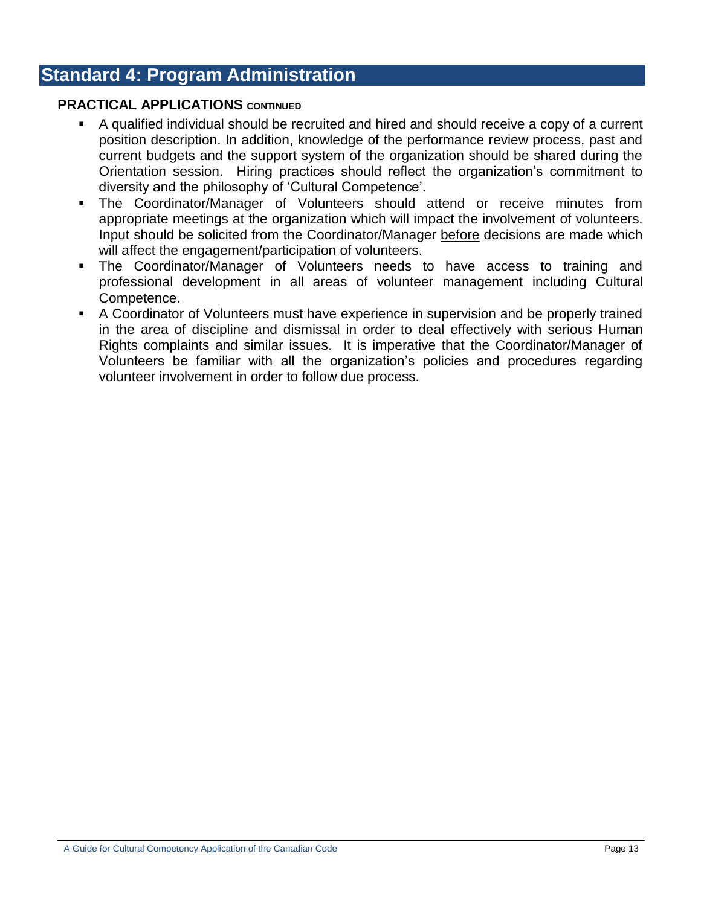## **Standard 4: Program Administration**

#### **PRACTICAL APPLICATIONS CONTINUED**

- A qualified individual should be recruited and hired and should receive a copy of a current position description. In addition, knowledge of the performance review process, past and current budgets and the support system of the organization should be shared during the Orientation session. Hiring practices should reflect the organization"s commitment to diversity and the philosophy of "Cultural Competence".
- The Coordinator/Manager of Volunteers should attend or receive minutes from appropriate meetings at the organization which will impact the involvement of volunteers. Input should be solicited from the Coordinator/Manager before decisions are made which will affect the engagement/participation of volunteers.
- The Coordinator/Manager of Volunteers needs to have access to training and professional development in all areas of volunteer management including Cultural Competence.
- A Coordinator of Volunteers must have experience in supervision and be properly trained in the area of discipline and dismissal in order to deal effectively with serious Human Rights complaints and similar issues. It is imperative that the Coordinator/Manager of Volunteers be familiar with all the organization"s policies and procedures regarding volunteer involvement in order to follow due process.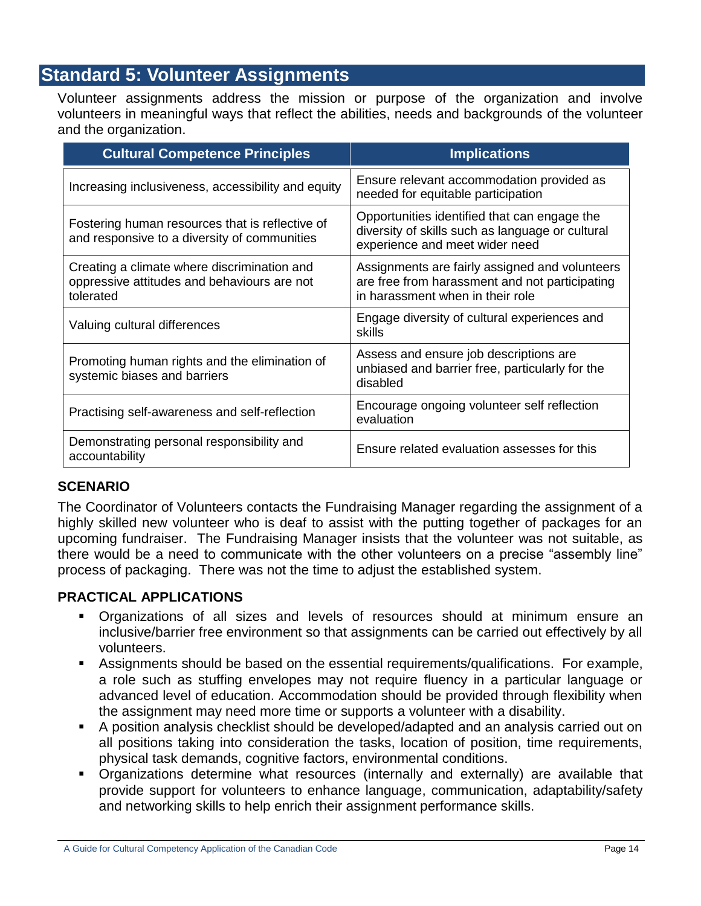## **Standard 5: Volunteer Assignments**

Volunteer assignments address the mission or purpose of the organization and involve volunteers in meaningful ways that reflect the abilities, needs and backgrounds of the volunteer and the organization.

| <b>Cultural Competence Principles</b>                                                                   | <b>Implications</b>                                                                                                                  |
|---------------------------------------------------------------------------------------------------------|--------------------------------------------------------------------------------------------------------------------------------------|
| Increasing inclusiveness, accessibility and equity                                                      | Ensure relevant accommodation provided as<br>needed for equitable participation                                                      |
| Fostering human resources that is reflective of<br>and responsive to a diversity of communities         | Opportunities identified that can engage the<br>diversity of skills such as language or cultural<br>experience and meet wider need   |
| Creating a climate where discrimination and<br>oppressive attitudes and behaviours are not<br>tolerated | Assignments are fairly assigned and volunteers<br>are free from harassment and not participating<br>in harassment when in their role |
| Valuing cultural differences                                                                            | Engage diversity of cultural experiences and<br>skills                                                                               |
| Promoting human rights and the elimination of<br>systemic biases and barriers                           | Assess and ensure job descriptions are<br>unbiased and barrier free, particularly for the<br>disabled                                |
| Practising self-awareness and self-reflection                                                           | Encourage ongoing volunteer self reflection<br>evaluation                                                                            |
| Demonstrating personal responsibility and<br>accountability                                             | Ensure related evaluation assesses for this                                                                                          |

#### **SCENARIO**

The Coordinator of Volunteers contacts the Fundraising Manager regarding the assignment of a highly skilled new volunteer who is deaf to assist with the putting together of packages for an upcoming fundraiser. The Fundraising Manager insists that the volunteer was not suitable, as there would be a need to communicate with the other volunteers on a precise "assembly line" process of packaging. There was not the time to adjust the established system.

- Organizations of all sizes and levels of resources should at minimum ensure an inclusive/barrier free environment so that assignments can be carried out effectively by all volunteers.
- Assignments should be based on the essential requirements/qualifications. For example, a role such as stuffing envelopes may not require fluency in a particular language or advanced level of education. Accommodation should be provided through flexibility when the assignment may need more time or supports a volunteer with a disability.
- A position analysis checklist should be developed/adapted and an analysis carried out on all positions taking into consideration the tasks, location of position, time requirements, physical task demands, cognitive factors, environmental conditions.
- Organizations determine what resources (internally and externally) are available that provide support for volunteers to enhance language, communication, adaptability/safety and networking skills to help enrich their assignment performance skills.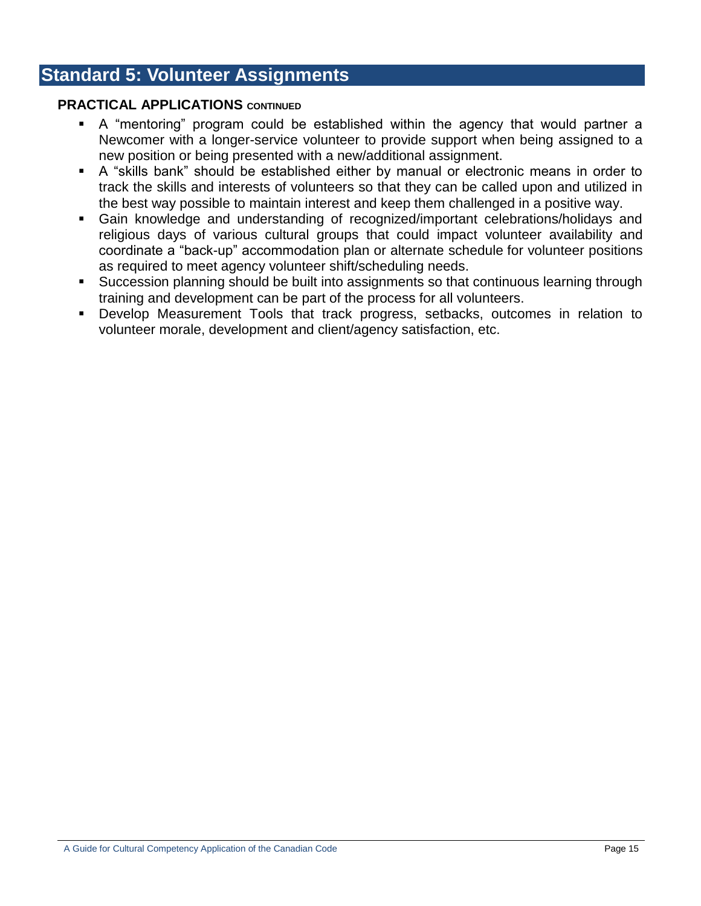## **Standard 5: Volunteer Assignments**

#### **PRACTICAL APPLICATIONS CONTINUED**

- A "mentoring" program could be established within the agency that would partner a Newcomer with a longer-service volunteer to provide support when being assigned to a new position or being presented with a new/additional assignment.
- A "skills bank" should be established either by manual or electronic means in order to track the skills and interests of volunteers so that they can be called upon and utilized in the best way possible to maintain interest and keep them challenged in a positive way.
- Gain knowledge and understanding of recognized/important celebrations/holidays and religious days of various cultural groups that could impact volunteer availability and coordinate a "back-up" accommodation plan or alternate schedule for volunteer positions as required to meet agency volunteer shift/scheduling needs.
- Succession planning should be built into assignments so that continuous learning through training and development can be part of the process for all volunteers.
- Develop Measurement Tools that track progress, setbacks, outcomes in relation to volunteer morale, development and client/agency satisfaction, etc.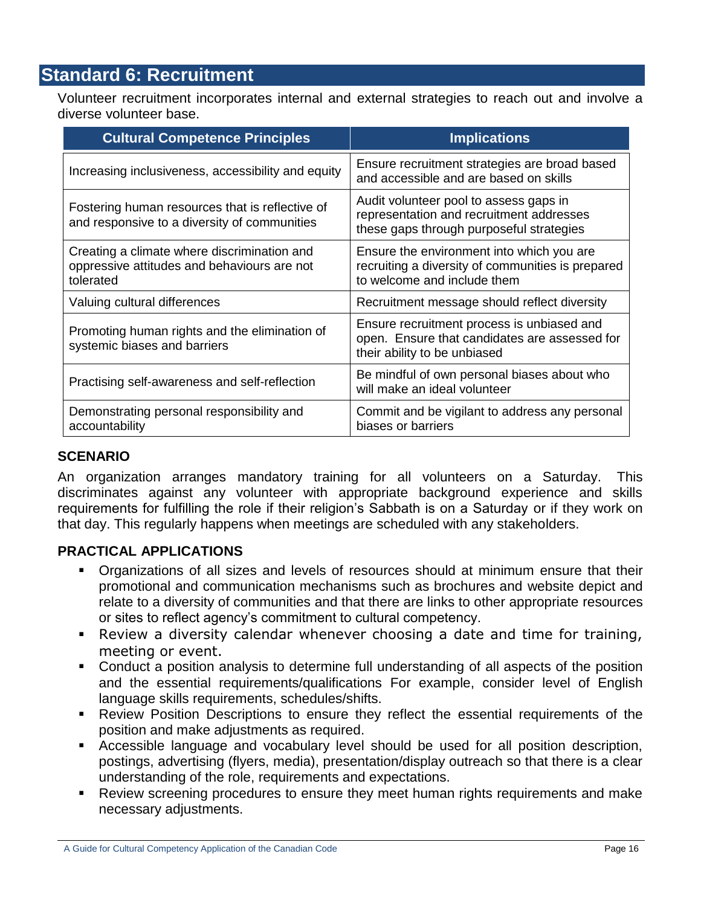## **Standard 6: Recruitment**

Volunteer recruitment incorporates internal and external strategies to reach out and involve a diverse volunteer base.

| <b>Cultural Competence Principles</b>                                                                   | <b>Implications</b>                                                                                                            |
|---------------------------------------------------------------------------------------------------------|--------------------------------------------------------------------------------------------------------------------------------|
| Increasing inclusiveness, accessibility and equity                                                      | Ensure recruitment strategies are broad based<br>and accessible and are based on skills                                        |
| Fostering human resources that is reflective of<br>and responsive to a diversity of communities         | Audit volunteer pool to assess gaps in<br>representation and recruitment addresses<br>these gaps through purposeful strategies |
| Creating a climate where discrimination and<br>oppressive attitudes and behaviours are not<br>tolerated | Ensure the environment into which you are<br>recruiting a diversity of communities is prepared<br>to welcome and include them  |
| Valuing cultural differences                                                                            | Recruitment message should reflect diversity                                                                                   |
| Promoting human rights and the elimination of<br>systemic biases and barriers                           | Ensure recruitment process is unbiased and<br>open. Ensure that candidates are assessed for<br>their ability to be unbiased    |
| Practising self-awareness and self-reflection                                                           | Be mindful of own personal biases about who<br>will make an ideal volunteer                                                    |
| Demonstrating personal responsibility and<br>accountability                                             | Commit and be vigilant to address any personal<br>biases or barriers                                                           |

#### **SCENARIO**

An organization arranges mandatory training for all volunteers on a Saturday. This discriminates against any volunteer with appropriate background experience and skills requirements for fulfilling the role if their religion's Sabbath is on a Saturday or if they work on that day. This regularly happens when meetings are scheduled with any stakeholders.

- Organizations of all sizes and levels of resources should at minimum ensure that their promotional and communication mechanisms such as brochures and website depict and relate to a diversity of communities and that there are links to other appropriate resources or sites to reflect agency"s commitment to cultural competency.
- Review a diversity calendar whenever choosing a date and time for training, meeting or event.
- Conduct a position analysis to determine full understanding of all aspects of the position and the essential requirements/qualifications For example, consider level of English language skills requirements, schedules/shifts.
- Review Position Descriptions to ensure they reflect the essential requirements of the position and make adjustments as required.
- Accessible language and vocabulary level should be used for all position description, postings, advertising (flyers, media), presentation/display outreach so that there is a clear understanding of the role, requirements and expectations.
- Review screening procedures to ensure they meet human rights requirements and make necessary adjustments.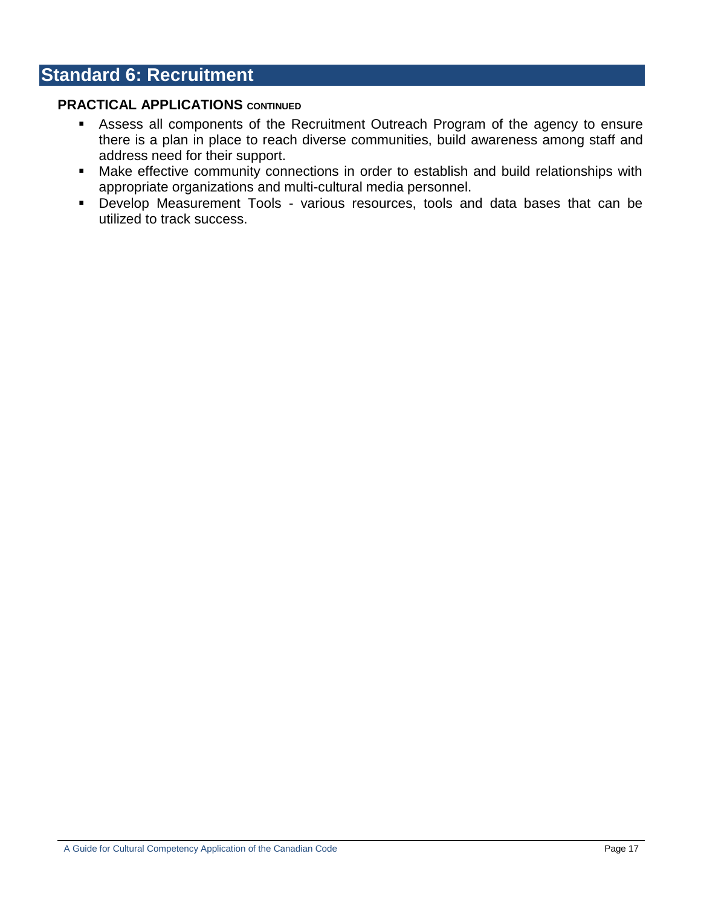## **Standard 6: Recruitment**

#### **PRACTICAL APPLICATIONS** CONTINUED

- Assess all components of the Recruitment Outreach Program of the agency to ensure there is a plan in place to reach diverse communities, build awareness among staff and address need for their support.
- Make effective community connections in order to establish and build relationships with appropriate organizations and multi-cultural media personnel.
- Develop Measurement Tools various resources, tools and data bases that can be utilized to track success.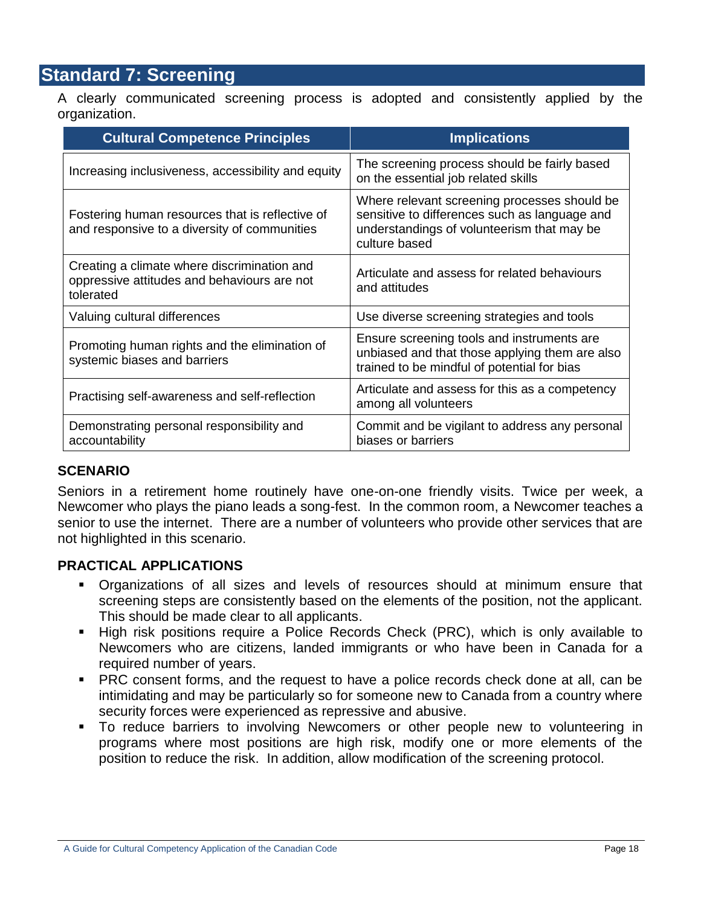## **Standard 7: Screening**

A clearly communicated screening process is adopted and consistently applied by the organization.

| <b>Cultural Competence Principles</b>                                                                   | <b>Implications</b>                                                                                                                                          |
|---------------------------------------------------------------------------------------------------------|--------------------------------------------------------------------------------------------------------------------------------------------------------------|
| Increasing inclusiveness, accessibility and equity                                                      | The screening process should be fairly based<br>on the essential job related skills                                                                          |
| Fostering human resources that is reflective of<br>and responsive to a diversity of communities         | Where relevant screening processes should be<br>sensitive to differences such as language and<br>understandings of volunteerism that may be<br>culture based |
| Creating a climate where discrimination and<br>oppressive attitudes and behaviours are not<br>tolerated | Articulate and assess for related behaviours<br>and attitudes                                                                                                |
| Valuing cultural differences                                                                            | Use diverse screening strategies and tools                                                                                                                   |
| Promoting human rights and the elimination of<br>systemic biases and barriers                           | Ensure screening tools and instruments are<br>unbiased and that those applying them are also<br>trained to be mindful of potential for bias                  |
| Practising self-awareness and self-reflection                                                           | Articulate and assess for this as a competency<br>among all volunteers                                                                                       |
| Demonstrating personal responsibility and<br>accountability                                             | Commit and be vigilant to address any personal<br>biases or barriers                                                                                         |

#### **SCENARIO**

Seniors in a retirement home routinely have one-on-one friendly visits. Twice per week, a Newcomer who plays the piano leads a song-fest. In the common room, a Newcomer teaches a senior to use the internet. There are a number of volunteers who provide other services that are not highlighted in this scenario.

- Organizations of all sizes and levels of resources should at minimum ensure that screening steps are consistently based on the elements of the position, not the applicant. This should be made clear to all applicants.
- High risk positions require a Police Records Check (PRC), which is only available to Newcomers who are citizens, landed immigrants or who have been in Canada for a required number of years.
- **PRC** consent forms, and the request to have a police records check done at all, can be intimidating and may be particularly so for someone new to Canada from a country where security forces were experienced as repressive and abusive.
- To reduce barriers to involving Newcomers or other people new to volunteering in programs where most positions are high risk, modify one or more elements of the position to reduce the risk. In addition, allow modification of the screening protocol.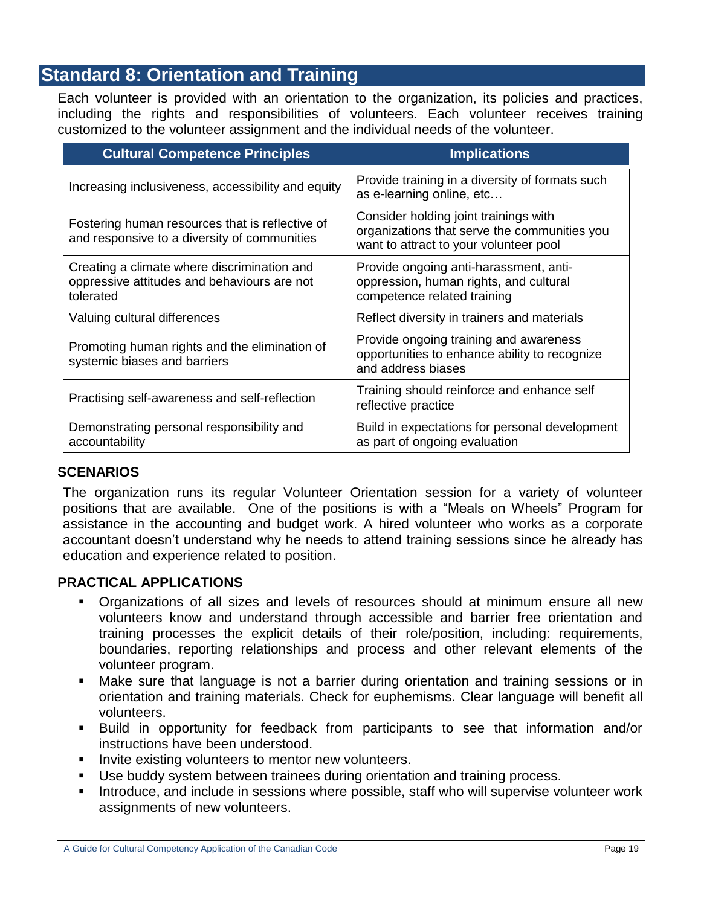## **Standard 8: Orientation and Training**

Each volunteer is provided with an orientation to the organization, its policies and practices, including the rights and responsibilities of volunteers. Each volunteer receives training customized to the volunteer assignment and the individual needs of the volunteer.

| <b>Cultural Competence Principles</b>                                                                   | <b>Implications</b>                                                                                                             |
|---------------------------------------------------------------------------------------------------------|---------------------------------------------------------------------------------------------------------------------------------|
| Increasing inclusiveness, accessibility and equity                                                      | Provide training in a diversity of formats such<br>as e-learning online, etc                                                    |
| Fostering human resources that is reflective of<br>and responsive to a diversity of communities         | Consider holding joint trainings with<br>organizations that serve the communities you<br>want to attract to your volunteer pool |
| Creating a climate where discrimination and<br>oppressive attitudes and behaviours are not<br>tolerated | Provide ongoing anti-harassment, anti-<br>oppression, human rights, and cultural<br>competence related training                 |
| Valuing cultural differences                                                                            | Reflect diversity in trainers and materials                                                                                     |
| Promoting human rights and the elimination of<br>systemic biases and barriers                           | Provide ongoing training and awareness<br>opportunities to enhance ability to recognize<br>and address biases                   |
| Practising self-awareness and self-reflection                                                           | Training should reinforce and enhance self<br>reflective practice                                                               |
| Demonstrating personal responsibility and<br>accountability                                             | Build in expectations for personal development<br>as part of ongoing evaluation                                                 |

#### **SCENARIOS**

The organization runs its regular Volunteer Orientation session for a variety of volunteer positions that are available. One of the positions is with a "Meals on Wheels" Program for assistance in the accounting and budget work. A hired volunteer who works as a corporate accountant doesn"t understand why he needs to attend training sessions since he already has education and experience related to position.

- Organizations of all sizes and levels of resources should at minimum ensure all new volunteers know and understand through accessible and barrier free orientation and training processes the explicit details of their role/position, including: requirements, boundaries, reporting relationships and process and other relevant elements of the volunteer program.
- Make sure that language is not a barrier during orientation and training sessions or in orientation and training materials. Check for euphemisms. Clear language will benefit all volunteers.
- Build in opportunity for feedback from participants to see that information and/or instructions have been understood.
- Invite existing volunteers to mentor new volunteers.
- Use buddy system between trainees during orientation and training process.
- **Introduce, and include in sessions where possible, staff who will supervise volunteer work** assignments of new volunteers.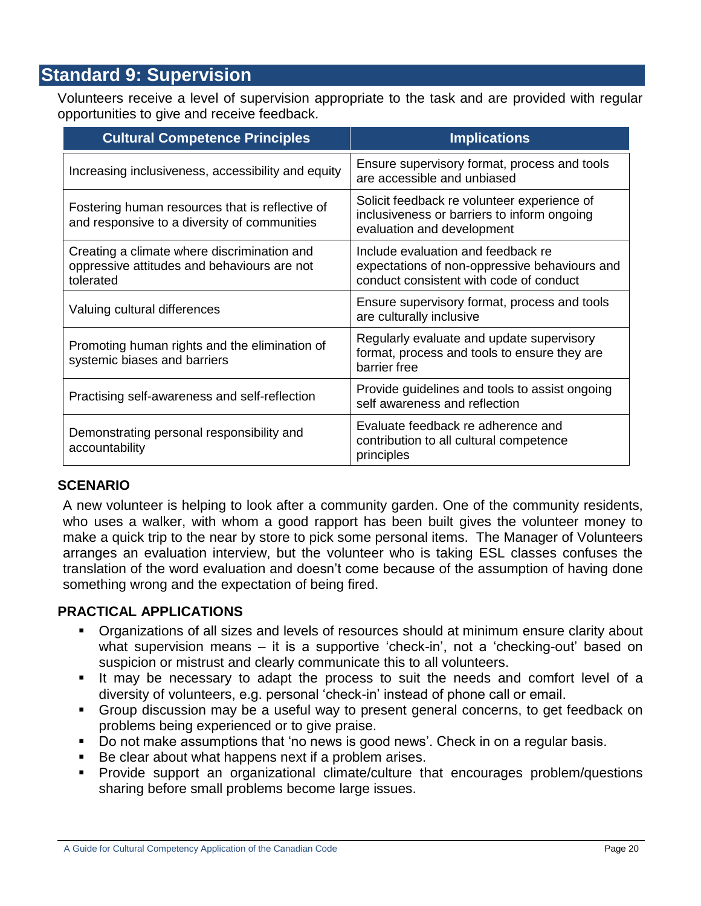## **Standard 9: Supervision**

Volunteers receive a level of supervision appropriate to the task and are provided with regular opportunities to give and receive feedback.

| <b>Cultural Competence Principles</b>                                                                   | <b>Implications</b>                                                                                                            |
|---------------------------------------------------------------------------------------------------------|--------------------------------------------------------------------------------------------------------------------------------|
| Increasing inclusiveness, accessibility and equity                                                      | Ensure supervisory format, process and tools<br>are accessible and unbiased                                                    |
| Fostering human resources that is reflective of<br>and responsive to a diversity of communities         | Solicit feedback re volunteer experience of<br>inclusiveness or barriers to inform ongoing<br>evaluation and development       |
| Creating a climate where discrimination and<br>oppressive attitudes and behaviours are not<br>tolerated | Include evaluation and feedback re<br>expectations of non-oppressive behaviours and<br>conduct consistent with code of conduct |
| Valuing cultural differences                                                                            | Ensure supervisory format, process and tools<br>are culturally inclusive                                                       |
| Promoting human rights and the elimination of<br>systemic biases and barriers                           | Regularly evaluate and update supervisory<br>format, process and tools to ensure they are<br>barrier free                      |
| Practising self-awareness and self-reflection                                                           | Provide guidelines and tools to assist ongoing<br>self awareness and reflection                                                |
| Demonstrating personal responsibility and<br>accountability                                             | Evaluate feedback re adherence and<br>contribution to all cultural competence<br>principles                                    |

#### **SCENARIO**

A new volunteer is helping to look after a community garden. One of the community residents, who uses a walker, with whom a good rapport has been built gives the volunteer money to make a quick trip to the near by store to pick some personal items. The Manager of Volunteers arranges an evaluation interview, but the volunteer who is taking ESL classes confuses the translation of the word evaluation and doesn"t come because of the assumption of having done something wrong and the expectation of being fired.

- Organizations of all sizes and levels of resources should at minimum ensure clarity about what supervision means – it is a supportive 'check-in', not a 'checking-out' based on suspicion or mistrust and clearly communicate this to all volunteers.
- It may be necessary to adapt the process to suit the needs and comfort level of a diversity of volunteers, e.g. personal "check-in" instead of phone call or email.
- Group discussion may be a useful way to present general concerns, to get feedback on problems being experienced or to give praise.
- Do not make assumptions that 'no news is good news'. Check in on a regular basis.
- Be clear about what happens next if a problem arises.
- Provide support an organizational climate/culture that encourages problem/questions sharing before small problems become large issues.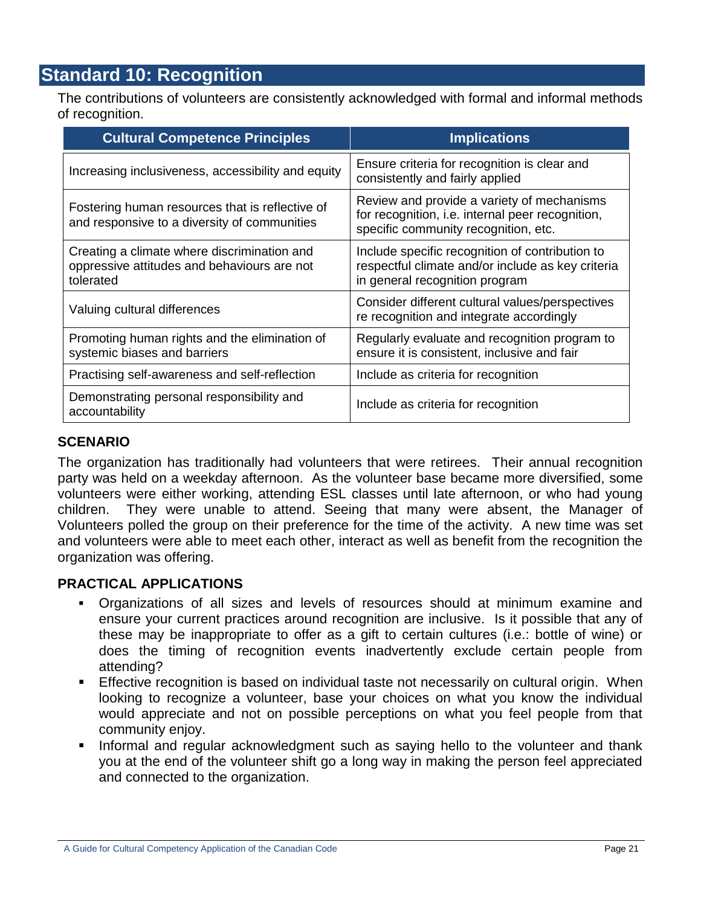## **Standard 10: Recognition**

The contributions of volunteers are consistently acknowledged with formal and informal methods of recognition.

| <b>Cultural Competence Principles</b>                                                                   | <b>Implications</b>                                                                                                                    |
|---------------------------------------------------------------------------------------------------------|----------------------------------------------------------------------------------------------------------------------------------------|
| Increasing inclusiveness, accessibility and equity                                                      | Ensure criteria for recognition is clear and<br>consistently and fairly applied                                                        |
| Fostering human resources that is reflective of<br>and responsive to a diversity of communities         | Review and provide a variety of mechanisms<br>for recognition, i.e. internal peer recognition,<br>specific community recognition, etc. |
| Creating a climate where discrimination and<br>oppressive attitudes and behaviours are not<br>tolerated | Include specific recognition of contribution to<br>respectful climate and/or include as key criteria<br>in general recognition program |
| Valuing cultural differences                                                                            | Consider different cultural values/perspectives<br>re recognition and integrate accordingly                                            |
| Promoting human rights and the elimination of<br>systemic biases and barriers                           | Regularly evaluate and recognition program to<br>ensure it is consistent, inclusive and fair                                           |
| Practising self-awareness and self-reflection                                                           | Include as criteria for recognition                                                                                                    |
| Demonstrating personal responsibility and<br>accountability                                             | Include as criteria for recognition                                                                                                    |

## **SCENARIO**

The organization has traditionally had volunteers that were retirees. Their annual recognition party was held on a weekday afternoon. As the volunteer base became more diversified, some volunteers were either working, attending ESL classes until late afternoon, or who had young children. They were unable to attend. Seeing that many were absent, the Manager of Volunteers polled the group on their preference for the time of the activity. A new time was set and volunteers were able to meet each other, interact as well as benefit from the recognition the organization was offering.

- Organizations of all sizes and levels of resources should at minimum examine and ensure your current practices around recognition are inclusive. Is it possible that any of these may be inappropriate to offer as a gift to certain cultures (i.e.: bottle of wine) or does the timing of recognition events inadvertently exclude certain people from attending?
- Effective recognition is based on individual taste not necessarily on cultural origin. When looking to recognize a volunteer, base your choices on what you know the individual would appreciate and not on possible perceptions on what you feel people from that community enjoy.
- **Informal and regular acknowledgment such as saying hello to the volunteer and thank** you at the end of the volunteer shift go a long way in making the person feel appreciated and connected to the organization.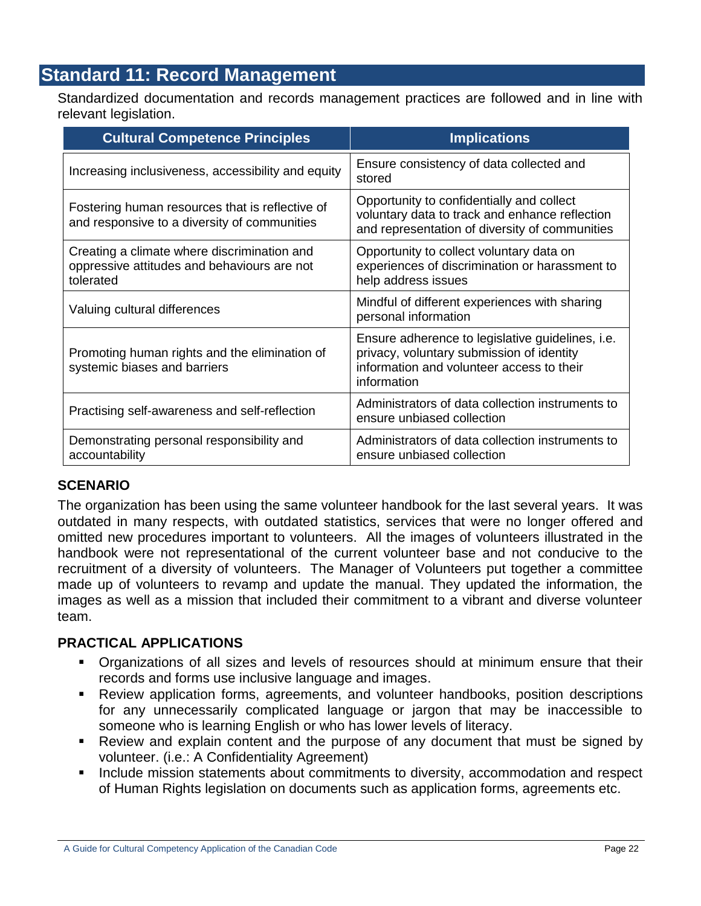## **Standard 11: Record Management**

Standardized documentation and records management practices are followed and in line with relevant legislation.

| <b>Cultural Competence Principles</b>                                                                   | <b>Implications</b>                                                                                                                                              |
|---------------------------------------------------------------------------------------------------------|------------------------------------------------------------------------------------------------------------------------------------------------------------------|
| Increasing inclusiveness, accessibility and equity                                                      | Ensure consistency of data collected and<br>stored                                                                                                               |
| Fostering human resources that is reflective of<br>and responsive to a diversity of communities         | Opportunity to confidentially and collect<br>voluntary data to track and enhance reflection<br>and representation of diversity of communities                    |
| Creating a climate where discrimination and<br>oppressive attitudes and behaviours are not<br>tolerated | Opportunity to collect voluntary data on<br>experiences of discrimination or harassment to<br>help address issues                                                |
| Valuing cultural differences                                                                            | Mindful of different experiences with sharing<br>personal information                                                                                            |
| Promoting human rights and the elimination of<br>systemic biases and barriers                           | Ensure adherence to legislative guidelines, <i>i.e.</i><br>privacy, voluntary submission of identity<br>information and volunteer access to their<br>information |
| Practising self-awareness and self-reflection                                                           | Administrators of data collection instruments to<br>ensure unbiased collection                                                                                   |
| Demonstrating personal responsibility and<br>accountability                                             | Administrators of data collection instruments to<br>ensure unbiased collection                                                                                   |

## **SCENARIO**

The organization has been using the same volunteer handbook for the last several years. It was outdated in many respects, with outdated statistics, services that were no longer offered and omitted new procedures important to volunteers. All the images of volunteers illustrated in the handbook were not representational of the current volunteer base and not conducive to the recruitment of a diversity of volunteers. The Manager of Volunteers put together a committee made up of volunteers to revamp and update the manual. They updated the information, the images as well as a mission that included their commitment to a vibrant and diverse volunteer team.

- Organizations of all sizes and levels of resources should at minimum ensure that their records and forms use inclusive language and images.
- Review application forms, agreements, and volunteer handbooks, position descriptions for any unnecessarily complicated language or jargon that may be inaccessible to someone who is learning English or who has lower levels of literacy.
- Review and explain content and the purpose of any document that must be signed by volunteer. (i.e.: A Confidentiality Agreement)
- Include mission statements about commitments to diversity, accommodation and respect of Human Rights legislation on documents such as application forms, agreements etc.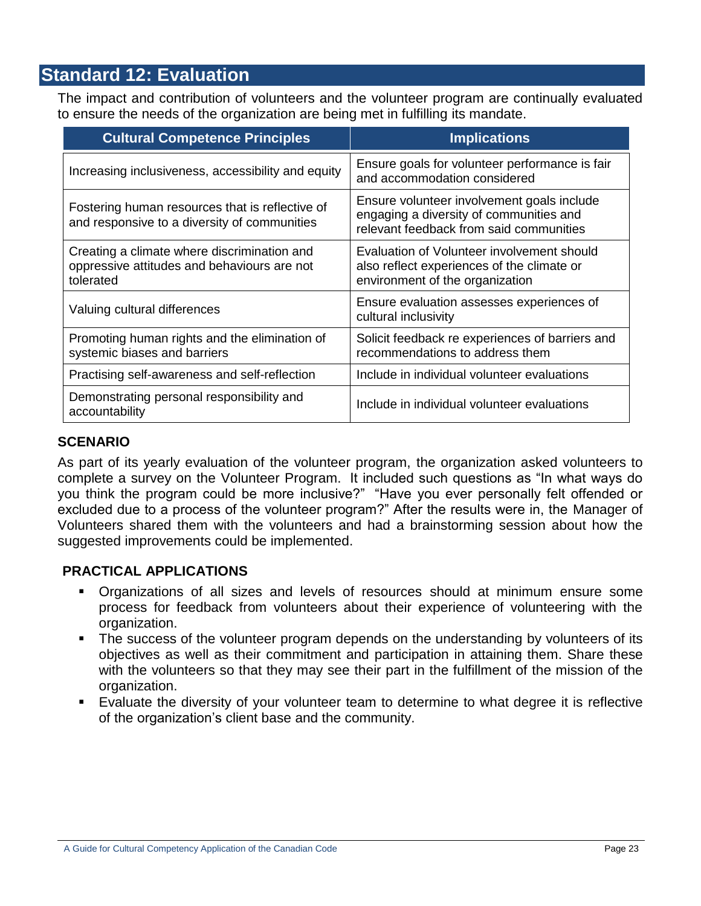## **Standard 12: Evaluation**

The impact and contribution of volunteers and the volunteer program are continually evaluated to ensure the needs of the organization are being met in fulfilling its mandate.

| <b>Cultural Competence Principles</b>                                                                   | <b>Implications</b>                                                                                                              |
|---------------------------------------------------------------------------------------------------------|----------------------------------------------------------------------------------------------------------------------------------|
| Increasing inclusiveness, accessibility and equity                                                      | Ensure goals for volunteer performance is fair<br>and accommodation considered                                                   |
| Fostering human resources that is reflective of<br>and responsive to a diversity of communities         | Ensure volunteer involvement goals include<br>engaging a diversity of communities and<br>relevant feedback from said communities |
| Creating a climate where discrimination and<br>oppressive attitudes and behaviours are not<br>tolerated | Evaluation of Volunteer involvement should<br>also reflect experiences of the climate or<br>environment of the organization      |
| Valuing cultural differences                                                                            | Ensure evaluation assesses experiences of<br>cultural inclusivity                                                                |
| Promoting human rights and the elimination of<br>systemic biases and barriers                           | Solicit feedback re experiences of barriers and<br>recommendations to address them                                               |
| Practising self-awareness and self-reflection                                                           | Include in individual volunteer evaluations                                                                                      |
| Demonstrating personal responsibility and<br>accountability                                             | Include in individual volunteer evaluations                                                                                      |

#### **SCENARIO**

As part of its yearly evaluation of the volunteer program, the organization asked volunteers to complete a survey on the Volunteer Program. It included such questions as "In what ways do you think the program could be more inclusive?" "Have you ever personally felt offended or excluded due to a process of the volunteer program?" After the results were in, the Manager of Volunteers shared them with the volunteers and had a brainstorming session about how the suggested improvements could be implemented.

- Organizations of all sizes and levels of resources should at minimum ensure some process for feedback from volunteers about their experience of volunteering with the organization.
- The success of the volunteer program depends on the understanding by volunteers of its objectives as well as their commitment and participation in attaining them. Share these with the volunteers so that they may see their part in the fulfillment of the mission of the organization.
- Evaluate the diversity of your volunteer team to determine to what degree it is reflective of the organization"s client base and the community.